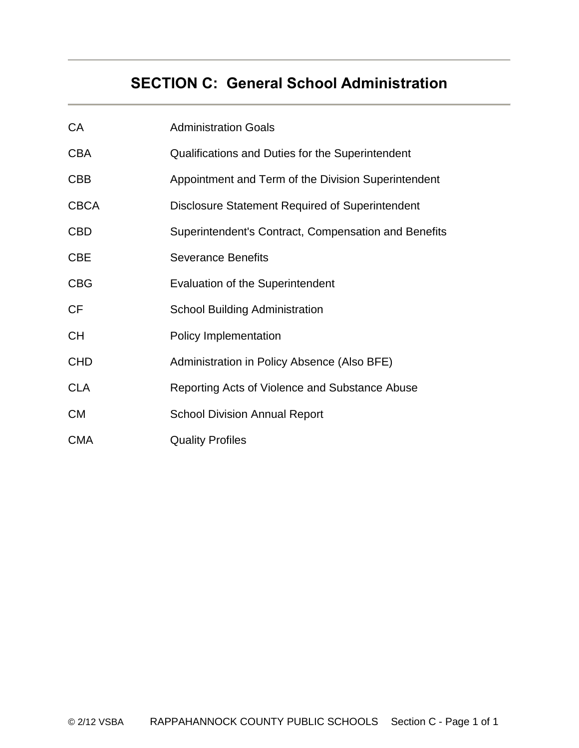# **SECTION C: General School Administration**

| CA          | <b>Administration Goals</b>                          |
|-------------|------------------------------------------------------|
| <b>CBA</b>  | Qualifications and Duties for the Superintendent     |
| <b>CBB</b>  | Appointment and Term of the Division Superintendent  |
| <b>CBCA</b> | Disclosure Statement Required of Superintendent      |
| <b>CBD</b>  | Superintendent's Contract, Compensation and Benefits |
| <b>CBE</b>  | <b>Severance Benefits</b>                            |
| <b>CBG</b>  | <b>Evaluation of the Superintendent</b>              |
| <b>CF</b>   | <b>School Building Administration</b>                |
| <b>CH</b>   | <b>Policy Implementation</b>                         |
| <b>CHD</b>  | Administration in Policy Absence (Also BFE)          |
| <b>CLA</b>  | Reporting Acts of Violence and Substance Abuse       |
| <b>CM</b>   | <b>School Division Annual Report</b>                 |
| <b>CMA</b>  | <b>Quality Profiles</b>                              |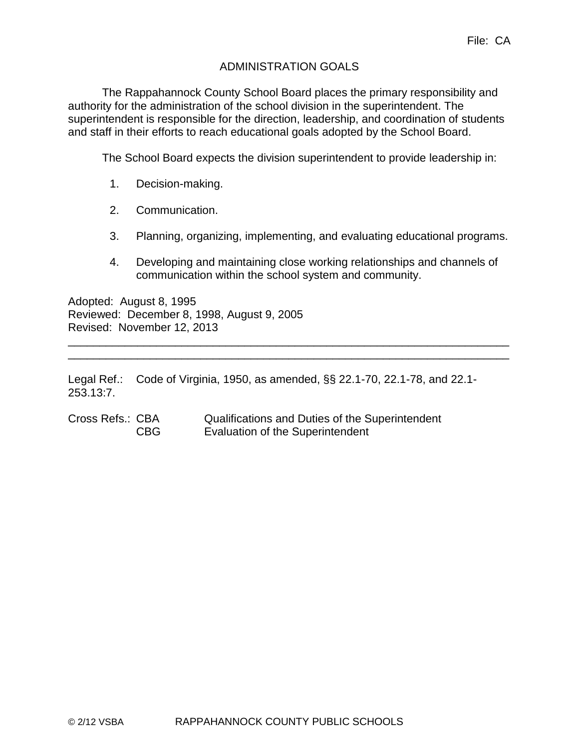# ADMINISTRATION GOALS

The Rappahannock County School Board places the primary responsibility and authority for the administration of the school division in the superintendent. The superintendent is responsible for the direction, leadership, and coordination of students and staff in their efforts to reach educational goals adopted by the School Board.

The School Board expects the division superintendent to provide leadership in:

- 1. Decision-making.
- 2. Communication.
- 3. Planning, organizing, implementing, and evaluating educational programs.
- 4. Developing and maintaining close working relationships and channels of communication within the school system and community.

Adopted: August 8, 1995 Reviewed: December 8, 1998, August 9, 2005 Revised: November 12, 2013

Legal Ref.: Code of Virginia, 1950, as amended, §§ 22.1-70, 22.1-78, and 22.1- 253.13:7.

\_\_\_\_\_\_\_\_\_\_\_\_\_\_\_\_\_\_\_\_\_\_\_\_\_\_\_\_\_\_\_\_\_\_\_\_\_\_\_\_\_\_\_\_\_\_\_\_\_\_\_\_\_\_\_\_\_\_\_\_\_\_\_\_\_\_\_\_\_\_ \_\_\_\_\_\_\_\_\_\_\_\_\_\_\_\_\_\_\_\_\_\_\_\_\_\_\_\_\_\_\_\_\_\_\_\_\_\_\_\_\_\_\_\_\_\_\_\_\_\_\_\_\_\_\_\_\_\_\_\_\_\_\_\_\_\_\_\_\_\_

Cross Refs.: CBA Qualifications and Duties of the Superintendent CBG Evaluation of the Superintendent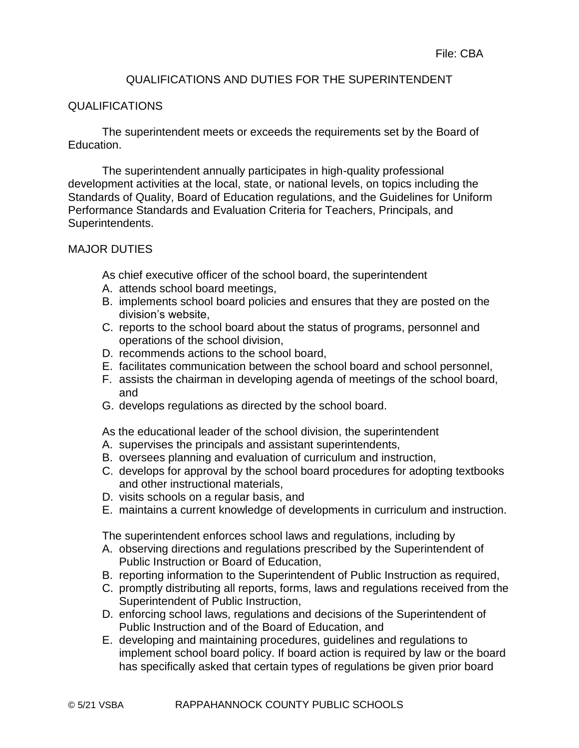## QUALIFICATIONS AND DUTIES FOR THE SUPERINTENDENT

#### QUALIFICATIONS

The superintendent meets or exceeds the requirements set by the Board of Education.

The superintendent annually participates in high-quality professional development activities at the local, state, or national levels, on topics including the Standards of Quality, Board of Education regulations, and the Guidelines for Uniform Performance Standards and Evaluation Criteria for Teachers, Principals, and Superintendents.

#### MAJOR DUTIES

As chief executive officer of the school board, the superintendent

- A. attends school board meetings,
- B. implements school board policies and ensures that they are posted on the division's website,
- C. reports to the school board about the status of programs, personnel and operations of the school division,
- D. recommends actions to the school board,
- E. facilitates communication between the school board and school personnel,
- F. assists the chairman in developing agenda of meetings of the school board, and
- G. develops regulations as directed by the school board.
- As the educational leader of the school division, the superintendent
- A. supervises the principals and assistant superintendents,
- B. oversees planning and evaluation of curriculum and instruction,
- C. develops for approval by the school board procedures for adopting textbooks and other instructional materials,
- D. visits schools on a regular basis, and
- E. maintains a current knowledge of developments in curriculum and instruction.

The superintendent enforces school laws and regulations, including by

- A. observing directions and regulations prescribed by the Superintendent of Public Instruction or Board of Education,
- B. reporting information to the Superintendent of Public Instruction as required,
- C. promptly distributing all reports, forms, laws and regulations received from the Superintendent of Public Instruction,
- D. enforcing school laws, regulations and decisions of the Superintendent of Public Instruction and of the Board of Education, and
- E. developing and maintaining procedures, guidelines and regulations to implement school board policy. If board action is required by law or the board has specifically asked that certain types of regulations be given prior board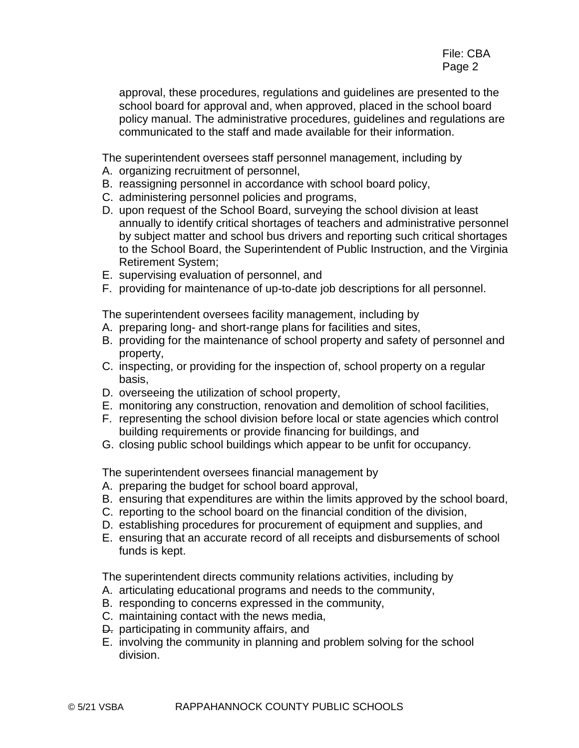approval, these procedures, regulations and guidelines are presented to the school board for approval and, when approved, placed in the school board policy manual. The administrative procedures, guidelines and regulations are communicated to the staff and made available for their information.

The superintendent oversees staff personnel management, including by

- A. organizing recruitment of personnel,
- B. reassigning personnel in accordance with school board policy,
- C. administering personnel policies and programs,
- D. upon request of the School Board, surveying the school division at least annually to identify critical shortages of teachers and administrative personnel by subject matter and school bus drivers and reporting such critical shortages to the School Board, the Superintendent of Public Instruction, and the Virginia Retirement System;
- E. supervising evaluation of personnel, and
- F. providing for maintenance of up-to-date job descriptions for all personnel.

The superintendent oversees facility management, including by

- A. preparing long- and short-range plans for facilities and sites,
- B. providing for the maintenance of school property and safety of personnel and property,
- C. inspecting, or providing for the inspection of, school property on a regular basis,
- D. overseeing the utilization of school property,
- E. monitoring any construction, renovation and demolition of school facilities,
- F. representing the school division before local or state agencies which control building requirements or provide financing for buildings, and
- G. closing public school buildings which appear to be unfit for occupancy.

The superintendent oversees financial management by

- A. preparing the budget for school board approval,
- B. ensuring that expenditures are within the limits approved by the school board,
- C. reporting to the school board on the financial condition of the division,
- D. establishing procedures for procurement of equipment and supplies, and
- E. ensuring that an accurate record of all receipts and disbursements of school funds is kept.

The superintendent directs community relations activities, including by

- A. articulating educational programs and needs to the community,
- B. responding to concerns expressed in the community,
- C. maintaining contact with the news media,
- D. participating in community affairs, and
- E. involving the community in planning and problem solving for the school division.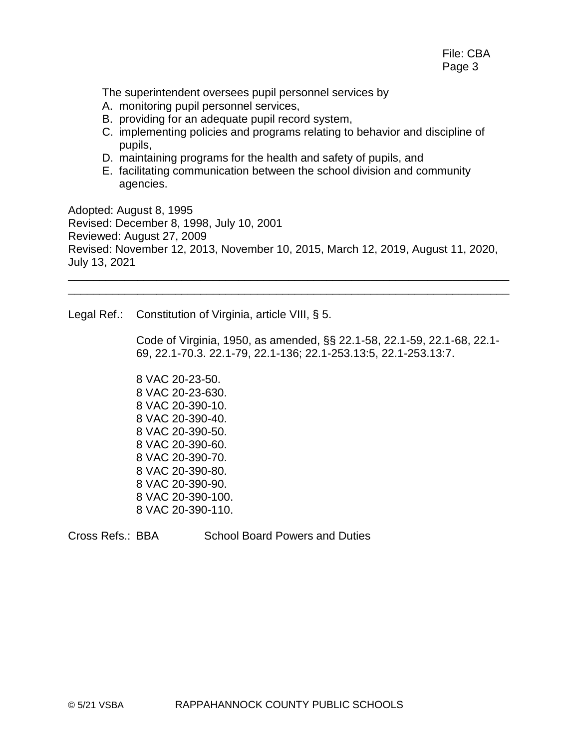The superintendent oversees pupil personnel services by

- A. monitoring pupil personnel services,
- B. providing for an adequate pupil record system,
- C. implementing policies and programs relating to behavior and discipline of pupils,
- D. maintaining programs for the health and safety of pupils, and
- E. facilitating communication between the school division and community agencies.

Adopted: August 8, 1995 Revised: December 8, 1998, July 10, 2001 Reviewed: August 27, 2009 Revised: November 12, 2013, November 10, 2015, March 12, 2019, August 11, 2020, July 13, 2021 \_\_\_\_\_\_\_\_\_\_\_\_\_\_\_\_\_\_\_\_\_\_\_\_\_\_\_\_\_\_\_\_\_\_\_\_\_\_\_\_\_\_\_\_\_\_\_\_\_\_\_\_\_\_\_\_\_\_\_\_\_\_\_\_\_\_\_\_\_\_

\_\_\_\_\_\_\_\_\_\_\_\_\_\_\_\_\_\_\_\_\_\_\_\_\_\_\_\_\_\_\_\_\_\_\_\_\_\_\_\_\_\_\_\_\_\_\_\_\_\_\_\_\_\_\_\_\_\_\_\_\_\_\_\_\_\_\_\_\_\_

Legal Ref.: Constitution of Virginia, article VIII, § 5.

Code of Virginia, 1950, as amended, §§ 22.1-58, 22.1-59, 22.1-68, 22.1- 69, 22.1-70.3. 22.1-79, 22.1-136; 22.1-253.13:5, 22.1-253.13:7.

8 VAC 20-23-50. 8 VAC 20-23-630. 8 VAC 20-390-10. 8 VAC 20-390-40. 8 VAC 20-390-50. 8 VAC 20-390-60. 8 VAC 20-390-70. 8 VAC 20-390-80. 8 VAC 20-390-90. 8 VAC 20-390-100. 8 VAC 20-390-110.

Cross Refs.: BBA School Board Powers and Duties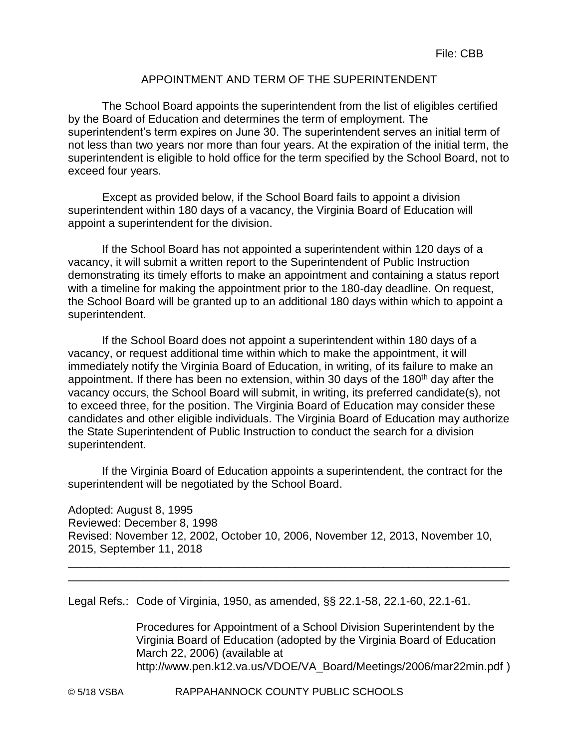## APPOINTMENT AND TERM OF THE SUPERINTENDENT

The School Board appoints the superintendent from the list of eligibles certified by the Board of Education and determines the term of employment. The superintendent's term expires on June 30. The superintendent serves an initial term of not less than two years nor more than four years. At the expiration of the initial term, the superintendent is eligible to hold office for the term specified by the School Board, not to exceed four years.

Except as provided below, if the School Board fails to appoint a division superintendent within 180 days of a vacancy, the Virginia Board of Education will appoint a superintendent for the division.

If the School Board has not appointed a superintendent within 120 days of a vacancy, it will submit a written report to the Superintendent of Public Instruction demonstrating its timely efforts to make an appointment and containing a status report with a timeline for making the appointment prior to the 180-day deadline. On request, the School Board will be granted up to an additional 180 days within which to appoint a superintendent.

If the School Board does not appoint a superintendent within 180 days of a vacancy, or request additional time within which to make the appointment, it will immediately notify the Virginia Board of Education, in writing, of its failure to make an appointment. If there has been no extension, within 30 days of the 180<sup>th</sup> day after the vacancy occurs, the School Board will submit, in writing, its preferred candidate(s), not to exceed three, for the position. The Virginia Board of Education may consider these candidates and other eligible individuals. The Virginia Board of Education may authorize the State Superintendent of Public Instruction to conduct the search for a division superintendent.

If the Virginia Board of Education appoints a superintendent, the contract for the superintendent will be negotiated by the School Board.

Adopted: August 8, 1995 Reviewed: December 8, 1998 Revised: November 12, 2002, October 10, 2006, November 12, 2013, November 10, 2015, September 11, 2018

\_\_\_\_\_\_\_\_\_\_\_\_\_\_\_\_\_\_\_\_\_\_\_\_\_\_\_\_\_\_\_\_\_\_\_\_\_\_\_\_\_\_\_\_\_\_\_\_\_\_\_\_\_\_\_\_\_\_\_\_\_\_\_\_\_\_\_\_\_\_ \_\_\_\_\_\_\_\_\_\_\_\_\_\_\_\_\_\_\_\_\_\_\_\_\_\_\_\_\_\_\_\_\_\_\_\_\_\_\_\_\_\_\_\_\_\_\_\_\_\_\_\_\_\_\_\_\_\_\_\_\_\_\_\_\_\_\_\_\_\_

Legal Refs.: Code of Virginia, 1950, as amended, §§ 22.1-58, 22.1-60, 22.1-61.

Procedures for Appointment of a School Division Superintendent by the Virginia Board of Education (adopted by the Virginia Board of Education March 22, 2006) (available at http://www.pen.k12.va.us/VDOE/VA\_Board/Meetings/2006/mar22min.pdf )

© 5/18 VSBA RAPPAHANNOCK COUNTY PUBLIC SCHOOLS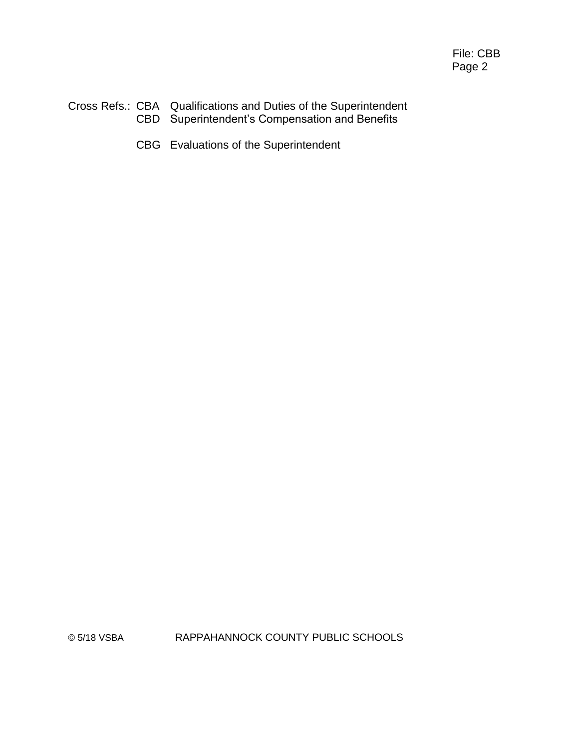#### Cross Refs.: CBA Qualifications and Duties of the Superintendent CBD Superintendent's Compensation and Benefits

CBG Evaluations of the Superintendent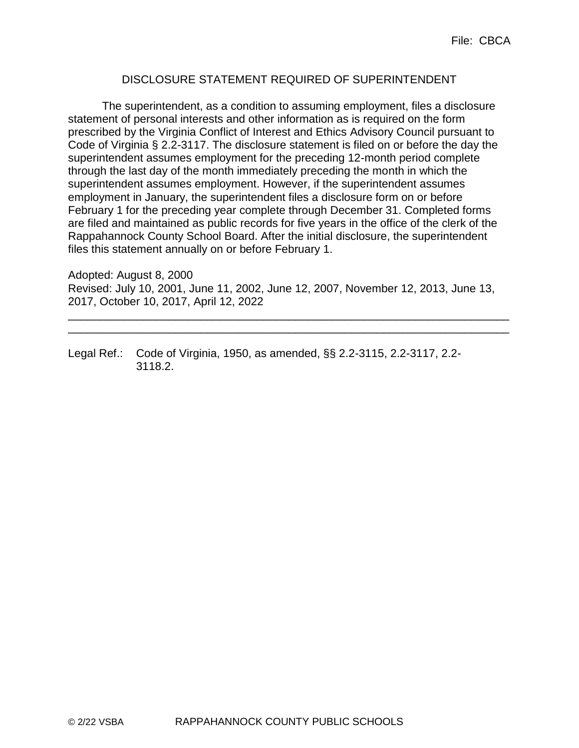#### DISCLOSURE STATEMENT REQUIRED OF SUPERINTENDENT

The superintendent, as a condition to assuming employment, files a disclosure statement of personal interests and other information as is required on the form prescribed by the Virginia Conflict of Interest and Ethics Advisory Council pursuant to Code of Virginia § 2.2-3117. The disclosure statement is filed on or before the day the superintendent assumes employment for the preceding 12-month period complete through the last day of the month immediately preceding the month in which the superintendent assumes employment. However, if the superintendent assumes employment in January, the superintendent files a disclosure form on or before February 1 for the preceding year complete through December 31. Completed forms are filed and maintained as public records for five years in the office of the clerk of the Rappahannock County School Board. After the initial disclosure, the superintendent files this statement annually on or before February 1.

Adopted: August 8, 2000 Revised: July 10, 2001, June 11, 2002, June 12, 2007, November 12, 2013, June 13, 2017, October 10, 2017, April 12, 2022

\_\_\_\_\_\_\_\_\_\_\_\_\_\_\_\_\_\_\_\_\_\_\_\_\_\_\_\_\_\_\_\_\_\_\_\_\_\_\_\_\_\_\_\_\_\_\_\_\_\_\_\_\_\_\_\_\_\_\_\_\_\_\_\_\_\_\_\_\_\_ \_\_\_\_\_\_\_\_\_\_\_\_\_\_\_\_\_\_\_\_\_\_\_\_\_\_\_\_\_\_\_\_\_\_\_\_\_\_\_\_\_\_\_\_\_\_\_\_\_\_\_\_\_\_\_\_\_\_\_\_\_\_\_\_\_\_\_\_\_\_

Legal Ref.: Code of Virginia, 1950, as amended, §§ 2.2-3115, 2.2-3117, 2.2- 3118.2.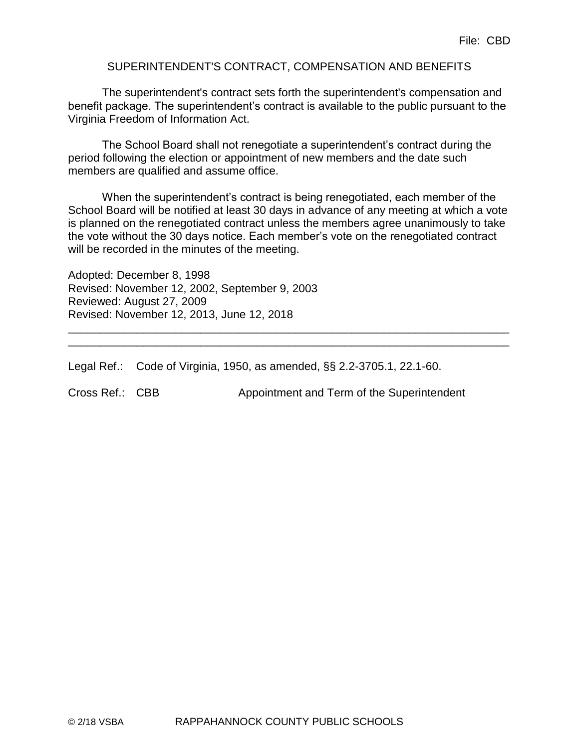#### SUPERINTENDENT'S CONTRACT, COMPENSATION AND BENEFITS

The superintendent's contract sets forth the superintendent's compensation and benefit package. The superintendent's contract is available to the public pursuant to the Virginia Freedom of Information Act.

The School Board shall not renegotiate a superintendent's contract during the period following the election or appointment of new members and the date such members are qualified and assume office.

When the superintendent's contract is being renegotiated, each member of the School Board will be notified at least 30 days in advance of any meeting at which a vote is planned on the renegotiated contract unless the members agree unanimously to take the vote without the 30 days notice. Each member's vote on the renegotiated contract will be recorded in the minutes of the meeting.

\_\_\_\_\_\_\_\_\_\_\_\_\_\_\_\_\_\_\_\_\_\_\_\_\_\_\_\_\_\_\_\_\_\_\_\_\_\_\_\_\_\_\_\_\_\_\_\_\_\_\_\_\_\_\_\_\_\_\_\_\_\_\_\_\_\_\_\_\_\_ \_\_\_\_\_\_\_\_\_\_\_\_\_\_\_\_\_\_\_\_\_\_\_\_\_\_\_\_\_\_\_\_\_\_\_\_\_\_\_\_\_\_\_\_\_\_\_\_\_\_\_\_\_\_\_\_\_\_\_\_\_\_\_\_\_\_\_\_\_\_

Adopted: December 8, 1998 Revised: November 12, 2002, September 9, 2003 Reviewed: August 27, 2009 Revised: November 12, 2013, June 12, 2018

Legal Ref.: Code of Virginia, 1950, as amended, §§ 2.2-3705.1, 22.1-60.

Cross Ref.: CBB Appointment and Term of the Superintendent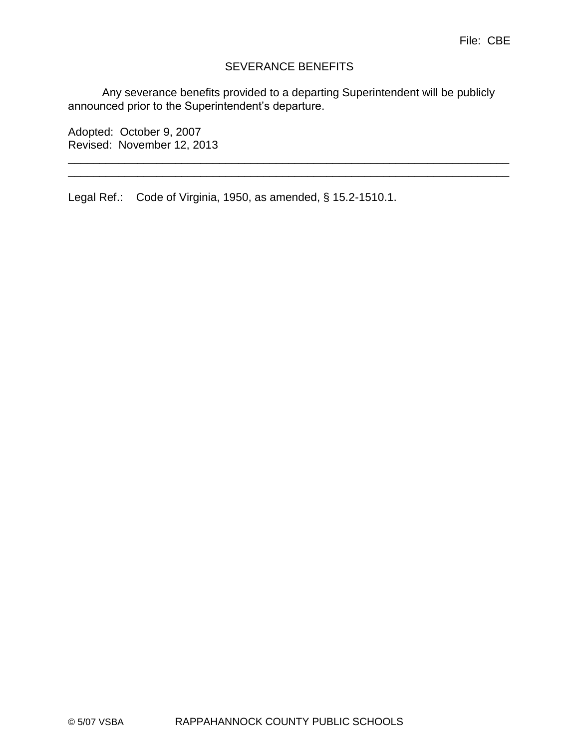#### SEVERANCE BENEFITS

Any severance benefits provided to a departing Superintendent will be publicly announced prior to the Superintendent's departure.

\_\_\_\_\_\_\_\_\_\_\_\_\_\_\_\_\_\_\_\_\_\_\_\_\_\_\_\_\_\_\_\_\_\_\_\_\_\_\_\_\_\_\_\_\_\_\_\_\_\_\_\_\_\_\_\_\_\_\_\_\_\_\_\_\_\_\_\_\_\_ \_\_\_\_\_\_\_\_\_\_\_\_\_\_\_\_\_\_\_\_\_\_\_\_\_\_\_\_\_\_\_\_\_\_\_\_\_\_\_\_\_\_\_\_\_\_\_\_\_\_\_\_\_\_\_\_\_\_\_\_\_\_\_\_\_\_\_\_\_\_

Adopted: October 9, 2007 Revised: November 12, 2013

Legal Ref.: Code of Virginia, 1950, as amended, § 15.2-1510.1.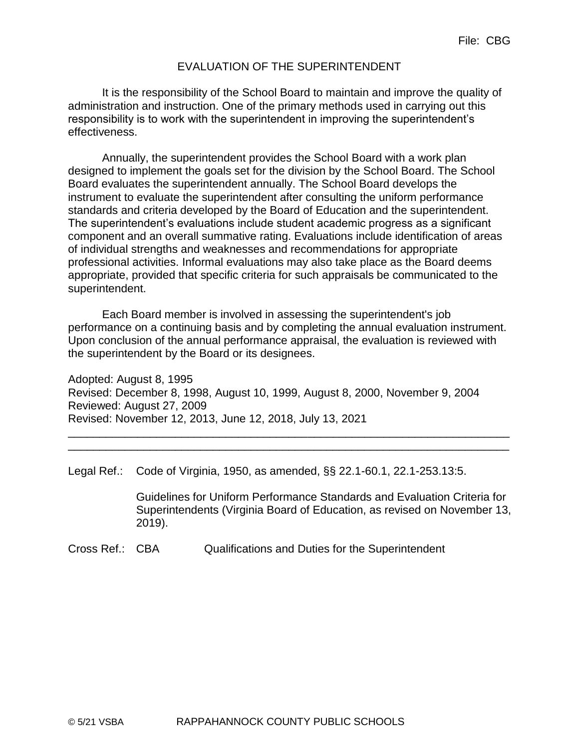#### EVALUATION OF THE SUPERINTENDENT

It is the responsibility of the School Board to maintain and improve the quality of administration and instruction. One of the primary methods used in carrying out this responsibility is to work with the superintendent in improving the superintendent's effectiveness.

Annually, the superintendent provides the School Board with a work plan designed to implement the goals set for the division by the School Board. The School Board evaluates the superintendent annually. The School Board develops the instrument to evaluate the superintendent after consulting the uniform performance standards and criteria developed by the Board of Education and the superintendent. The superintendent's evaluations include student academic progress as a significant component and an overall summative rating. Evaluations include identification of areas of individual strengths and weaknesses and recommendations for appropriate professional activities. Informal evaluations may also take place as the Board deems appropriate, provided that specific criteria for such appraisals be communicated to the superintendent.

Each Board member is involved in assessing the superintendent's job performance on a continuing basis and by completing the annual evaluation instrument. Upon conclusion of the annual performance appraisal, the evaluation is reviewed with the superintendent by the Board or its designees.

Adopted: August 8, 1995 Revised: December 8, 1998, August 10, 1999, August 8, 2000, November 9, 2004 Reviewed: August 27, 2009 Revised: November 12, 2013, June 12, 2018, July 13, 2021

\_\_\_\_\_\_\_\_\_\_\_\_\_\_\_\_\_\_\_\_\_\_\_\_\_\_\_\_\_\_\_\_\_\_\_\_\_\_\_\_\_\_\_\_\_\_\_\_\_\_\_\_\_\_\_\_\_\_\_\_\_\_\_\_\_\_\_\_\_\_ \_\_\_\_\_\_\_\_\_\_\_\_\_\_\_\_\_\_\_\_\_\_\_\_\_\_\_\_\_\_\_\_\_\_\_\_\_\_\_\_\_\_\_\_\_\_\_\_\_\_\_\_\_\_\_\_\_\_\_\_\_\_\_\_\_\_\_\_\_\_

Legal Ref.: Code of Virginia, 1950, as amended, §§ 22.1-60.1, 22.1-253.13:5.

Guidelines for Uniform Performance Standards and Evaluation Criteria for Superintendents (Virginia Board of Education, as revised on November 13, 2019).

Cross Ref.: CBA Qualifications and Duties for the Superintendent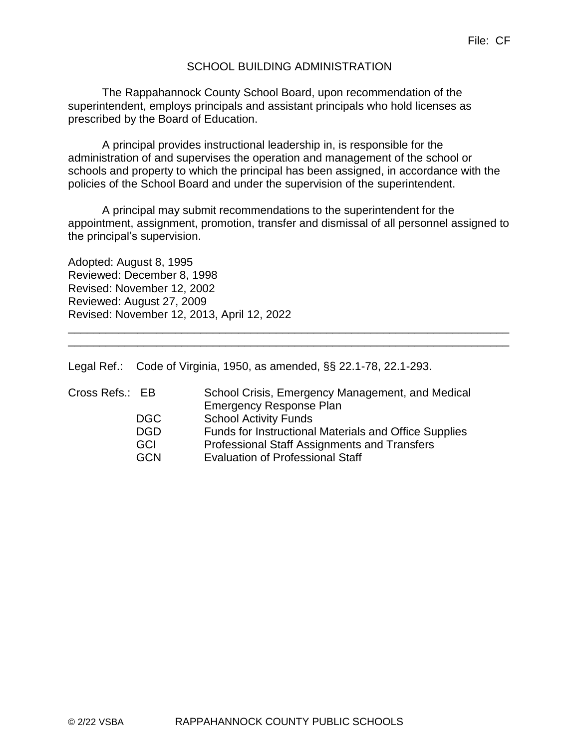#### SCHOOL BUILDING ADMINISTRATION

The Rappahannock County School Board, upon recommendation of the superintendent, employs principals and assistant principals who hold licenses as prescribed by the Board of Education.

A principal provides instructional leadership in, is responsible for the administration of and supervises the operation and management of the school or schools and property to which the principal has been assigned, in accordance with the policies of the School Board and under the supervision of the superintendent.

A principal may submit recommendations to the superintendent for the appointment, assignment, promotion, transfer and dismissal of all personnel assigned to the principal's supervision.

\_\_\_\_\_\_\_\_\_\_\_\_\_\_\_\_\_\_\_\_\_\_\_\_\_\_\_\_\_\_\_\_\_\_\_\_\_\_\_\_\_\_\_\_\_\_\_\_\_\_\_\_\_\_\_\_\_\_\_\_\_\_\_\_\_\_\_\_\_\_ \_\_\_\_\_\_\_\_\_\_\_\_\_\_\_\_\_\_\_\_\_\_\_\_\_\_\_\_\_\_\_\_\_\_\_\_\_\_\_\_\_\_\_\_\_\_\_\_\_\_\_\_\_\_\_\_\_\_\_\_\_\_\_\_\_\_\_\_\_\_

Adopted: August 8, 1995 Reviewed: December 8, 1998 Revised: November 12, 2002 Reviewed: August 27, 2009 Revised: November 12, 2013, April 12, 2022

Legal Ref.: Code of Virginia, 1950, as amended, §§ 22.1-78, 22.1-293.

| Cross Refs.: EB | School Crisis, Emergency Management, and Medical<br><b>Emergency Response Plan</b> |
|-----------------|------------------------------------------------------------------------------------|
| <b>DGC</b>      | <b>School Activity Funds</b>                                                       |
| <b>DGD</b>      | Funds for Instructional Materials and Office Supplies                              |
| GCI             | <b>Professional Staff Assignments and Transfers</b>                                |
| GCN             | <b>Evaluation of Professional Staff</b>                                            |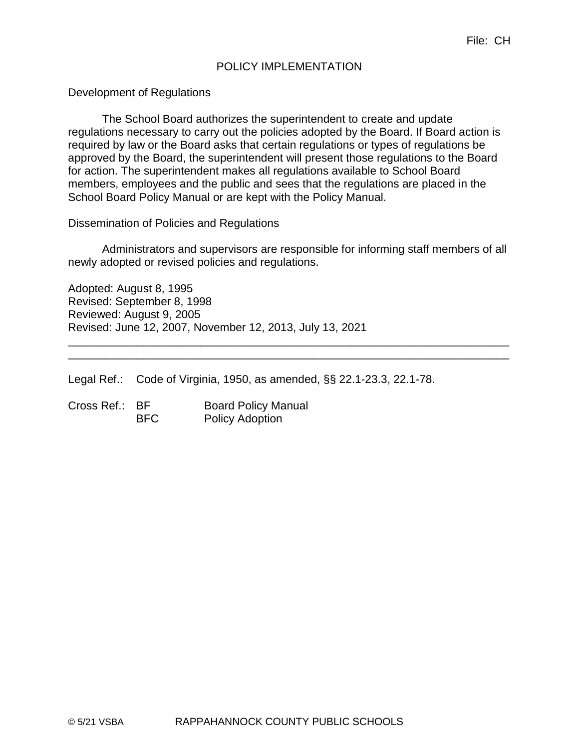#### POLICY IMPLEMENTATION

Development of Regulations

The School Board authorizes the superintendent to create and update regulations necessary to carry out the policies adopted by the Board. If Board action is required by law or the Board asks that certain regulations or types of regulations be approved by the Board, the superintendent will present those regulations to the Board for action. The superintendent makes all regulations available to School Board members, employees and the public and sees that the regulations are placed in the School Board Policy Manual or are kept with the Policy Manual.

Dissemination of Policies and Regulations

Administrators and supervisors are responsible for informing staff members of all newly adopted or revised policies and regulations.

\_\_\_\_\_\_\_\_\_\_\_\_\_\_\_\_\_\_\_\_\_\_\_\_\_\_\_\_\_\_\_\_\_\_\_\_\_\_\_\_\_\_\_\_\_\_\_\_\_\_\_\_\_\_\_\_\_\_\_\_\_\_\_\_\_\_\_\_\_\_ \_\_\_\_\_\_\_\_\_\_\_\_\_\_\_\_\_\_\_\_\_\_\_\_\_\_\_\_\_\_\_\_\_\_\_\_\_\_\_\_\_\_\_\_\_\_\_\_\_\_\_\_\_\_\_\_\_\_\_\_\_\_\_\_\_\_\_\_\_\_

Adopted: August 8, 1995 Revised: September 8, 1998 Reviewed: August 9, 2005 Revised: June 12, 2007, November 12, 2013, July 13, 2021

Legal Ref.: Code of Virginia, 1950, as amended, §§ 22.1-23.3, 22.1-78.

Cross Ref.: BF Board Policy Manual BFC Policy Adoption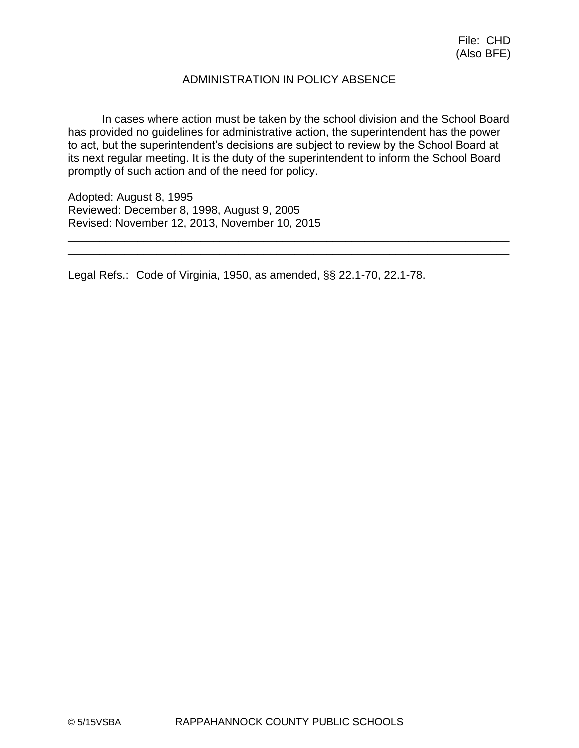## ADMINISTRATION IN POLICY ABSENCE

In cases where action must be taken by the school division and the School Board has provided no guidelines for administrative action, the superintendent has the power to act, but the superintendent's decisions are subject to review by the School Board at its next regular meeting. It is the duty of the superintendent to inform the School Board promptly of such action and of the need for policy.

\_\_\_\_\_\_\_\_\_\_\_\_\_\_\_\_\_\_\_\_\_\_\_\_\_\_\_\_\_\_\_\_\_\_\_\_\_\_\_\_\_\_\_\_\_\_\_\_\_\_\_\_\_\_\_\_\_\_\_\_\_\_\_\_\_\_\_\_\_\_ \_\_\_\_\_\_\_\_\_\_\_\_\_\_\_\_\_\_\_\_\_\_\_\_\_\_\_\_\_\_\_\_\_\_\_\_\_\_\_\_\_\_\_\_\_\_\_\_\_\_\_\_\_\_\_\_\_\_\_\_\_\_\_\_\_\_\_\_\_\_

Adopted: August 8, 1995 Reviewed: December 8, 1998, August 9, 2005 Revised: November 12, 2013, November 10, 2015

Legal Refs.: Code of Virginia, 1950, as amended, §§ 22.1-70, 22.1-78.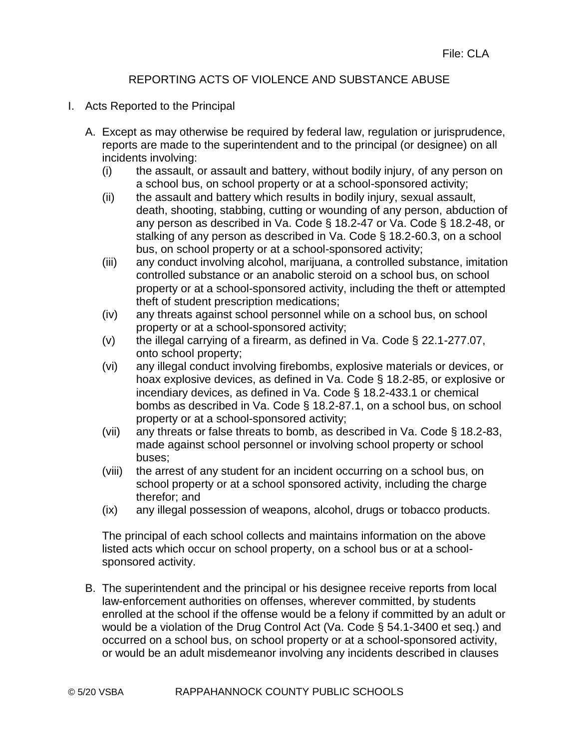# REPORTING ACTS OF VIOLENCE AND SUBSTANCE ABUSE

- I. Acts Reported to the Principal
	- A. Except as may otherwise be required by federal law, regulation or jurisprudence, reports are made to the superintendent and to the principal (or designee) on all incidents involving:
		- (i) the assault, or assault and battery, without bodily injury, of any person on a school bus, on school property or at a school-sponsored activity;
		- (ii) the assault and battery which results in bodily injury, sexual assault, death, shooting, stabbing, cutting or wounding of any person, abduction of any person as described in Va. Code § 18.2-47 or Va. Code § 18.2-48, or stalking of any person as described in Va. Code § 18.2-60.3, on a school bus, on school property or at a school-sponsored activity;
		- (iii) any conduct involving alcohol, marijuana, a controlled substance, imitation controlled substance or an anabolic steroid on a school bus, on school property or at a school-sponsored activity, including the theft or attempted theft of student prescription medications;
		- (iv) any threats against school personnel while on a school bus, on school property or at a school-sponsored activity;
		- (v) the illegal carrying of a firearm, as defined in Va. Code  $\S$  22.1-277.07, onto school property;
		- (vi) any illegal conduct involving firebombs, explosive materials or devices, or hoax explosive devices, as defined in Va. Code § 18.2-85, or explosive or incendiary devices, as defined in Va. Code § 18.2-433.1 or chemical bombs as described in Va. Code § 18.2-87.1, on a school bus, on school property or at a school-sponsored activity;
		- (vii) any threats or false threats to bomb, as described in Va. Code § 18.2-83, made against school personnel or involving school property or school buses;
		- (viii) the arrest of any student for an incident occurring on a school bus, on school property or at a school sponsored activity, including the charge therefor; and
		- (ix) any illegal possession of weapons, alcohol, drugs or tobacco products.

The principal of each school collects and maintains information on the above listed acts which occur on school property, on a school bus or at a schoolsponsored activity.

B. The superintendent and the principal or his designee receive reports from local law-enforcement authorities on offenses, wherever committed, by students enrolled at the school if the offense would be a felony if committed by an adult or would be a violation of the Drug Control Act (Va. Code § 54.1-3400 et seq.) and occurred on a school bus, on school property or at a school-sponsored activity, or would be an adult misdemeanor involving any incidents described in clauses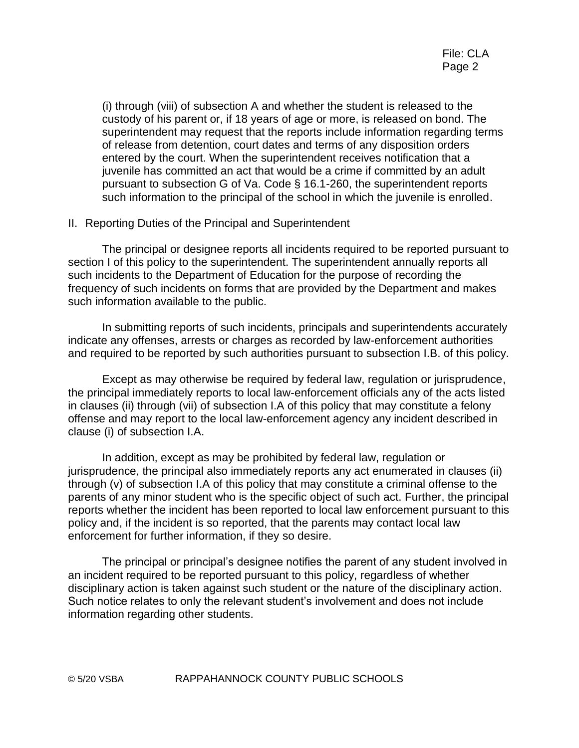(i) through (viii) of subsection A and whether the student is released to the custody of his parent or, if 18 years of age or more, is released on bond. The superintendent may request that the reports include information regarding terms of release from detention, court dates and terms of any disposition orders entered by the court. When the superintendent receives notification that a juvenile has committed an act that would be a crime if committed by an adult pursuant to subsection G of Va. Code § 16.1-260, the superintendent reports such information to the principal of the school in which the juvenile is enrolled.

#### II. Reporting Duties of the Principal and Superintendent

The principal or designee reports all incidents required to be reported pursuant to section I of this policy to the superintendent. The superintendent annually reports all such incidents to the Department of Education for the purpose of recording the frequency of such incidents on forms that are provided by the Department and makes such information available to the public.

In submitting reports of such incidents, principals and superintendents accurately indicate any offenses, arrests or charges as recorded by law-enforcement authorities and required to be reported by such authorities pursuant to subsection I.B. of this policy.

Except as may otherwise be required by federal law, regulation or jurisprudence, the principal immediately reports to local law-enforcement officials any of the acts listed in clauses (ii) through (vii) of subsection I.A of this policy that may constitute a felony offense and may report to the local law-enforcement agency any incident described in clause (i) of subsection I.A.

In addition, except as may be prohibited by federal law, regulation or jurisprudence, the principal also immediately reports any act enumerated in clauses (ii) through (v) of subsection I.A of this policy that may constitute a criminal offense to the parents of any minor student who is the specific object of such act. Further, the principal reports whether the incident has been reported to local law enforcement pursuant to this policy and, if the incident is so reported, that the parents may contact local law enforcement for further information, if they so desire.

The principal or principal's designee notifies the parent of any student involved in an incident required to be reported pursuant to this policy, regardless of whether disciplinary action is taken against such student or the nature of the disciplinary action. Such notice relates to only the relevant student's involvement and does not include information regarding other students.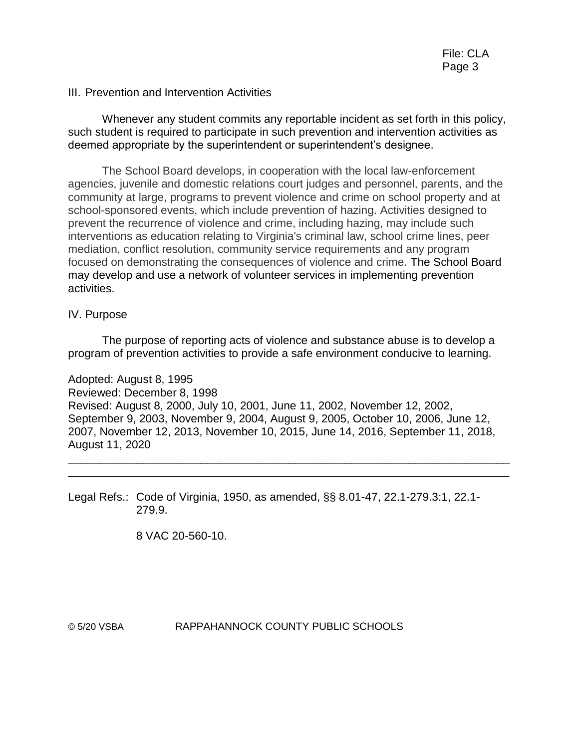#### III. Prevention and Intervention Activities

Whenever any student commits any reportable incident as set forth in this policy, such student is required to participate in such prevention and intervention activities as deemed appropriate by the superintendent or superintendent's designee.

The School Board develops, in cooperation with the local law-enforcement agencies, juvenile and domestic relations court judges and personnel, parents, and the community at large, programs to prevent violence and crime on school property and at school-sponsored events, which include prevention of hazing. Activities designed to prevent the recurrence of violence and crime, including hazing, may include such interventions as education relating to Virginia's criminal law, school crime lines, peer mediation, conflict resolution, community service requirements and any program focused on demonstrating the consequences of violence and crime. The School Board may develop and use a network of volunteer services in implementing prevention activities.

#### IV. Purpose

The purpose of reporting acts of violence and substance abuse is to develop a program of prevention activities to provide a safe environment conducive to learning.

Adopted: August 8, 1995 Reviewed: December 8, 1998 Revised: August 8, 2000, July 10, 2001, June 11, 2002, November 12, 2002, September 9, 2003, November 9, 2004, August 9, 2005, October 10, 2006, June 12, 2007, November 12, 2013, November 10, 2015, June 14, 2016, September 11, 2018, August 11, 2020

\_\_\_\_\_\_\_\_\_\_\_\_\_\_\_\_\_\_\_\_\_\_\_\_\_\_\_\_\_\_\_\_\_\_\_\_\_\_\_\_\_\_\_\_\_\_\_\_\_\_\_\_\_\_\_\_\_\_\_\_\_\_\_\_\_\_\_\_\_\_ \_\_\_\_\_\_\_\_\_\_\_\_\_\_\_\_\_\_\_\_\_\_\_\_\_\_\_\_\_\_\_\_\_\_\_\_\_\_\_\_\_\_\_\_\_\_\_\_\_\_\_\_\_\_\_\_\_\_\_\_\_\_\_\_\_\_\_\_\_\_

Legal Refs.: Code of Virginia, 1950, as amended, §§ 8.01-47, 22.1-279.3:1, 22.1- 279.9.

8 VAC 20-560-10.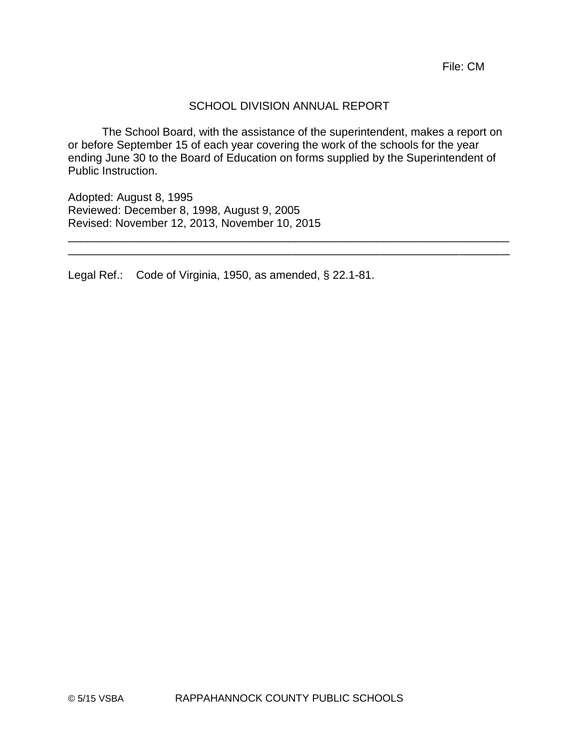#### SCHOOL DIVISION ANNUAL REPORT

The School Board, with the assistance of the superintendent, makes a report on or before September 15 of each year covering the work of the schools for the year ending June 30 to the Board of Education on forms supplied by the Superintendent of Public Instruction.

\_\_\_\_\_\_\_\_\_\_\_\_\_\_\_\_\_\_\_\_\_\_\_\_\_\_\_\_\_\_\_\_\_\_\_\_\_\_\_\_\_\_\_\_\_\_\_\_\_\_\_\_\_\_\_\_\_\_\_\_\_\_\_\_\_\_\_\_\_\_ \_\_\_\_\_\_\_\_\_\_\_\_\_\_\_\_\_\_\_\_\_\_\_\_\_\_\_\_\_\_\_\_\_\_\_\_\_\_\_\_\_\_\_\_\_\_\_\_\_\_\_\_\_\_\_\_\_\_\_\_\_\_\_\_\_\_\_\_\_\_

Adopted: August 8, 1995 Reviewed: December 8, 1998, August 9, 2005 Revised: November 12, 2013, November 10, 2015

Legal Ref.: Code of Virginia, 1950, as amended, § 22.1-81.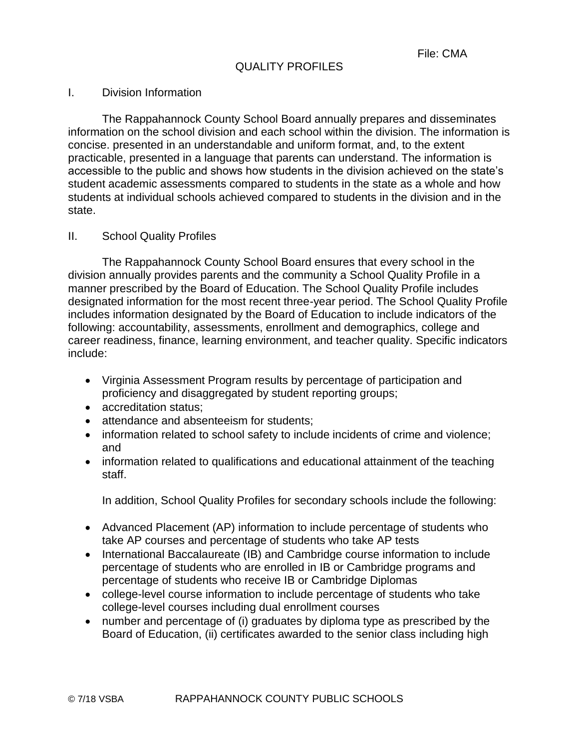#### I. Division Information

The Rappahannock County School Board annually prepares and disseminates information on the school division and each school within the division. The information is concise. presented in an understandable and uniform format, and, to the extent practicable, presented in a language that parents can understand. The information is accessible to the public and shows how students in the division achieved on the state's student academic assessments compared to students in the state as a whole and how students at individual schools achieved compared to students in the division and in the state.

#### II. School Quality Profiles

The Rappahannock County School Board ensures that every school in the division annually provides parents and the community a School Quality Profile in a manner prescribed by the Board of Education. The School Quality Profile includes designated information for the most recent three-year period. The School Quality Profile includes information designated by the Board of Education to include indicators of the following: accountability, assessments, enrollment and demographics, college and career readiness, finance, learning environment, and teacher quality. Specific indicators include:

- Virginia Assessment Program results by percentage of participation and proficiency and disaggregated by student reporting groups;
- accreditation status;
- attendance and absenteeism for students:
- information related to school safety to include incidents of crime and violence; and
- information related to qualifications and educational attainment of the teaching staff.

In addition, School Quality Profiles for secondary schools include the following:

- Advanced Placement (AP) information to include percentage of students who take AP courses and percentage of students who take AP tests
- International Baccalaureate (IB) and Cambridge course information to include percentage of students who are enrolled in IB or Cambridge programs and percentage of students who receive IB or Cambridge Diplomas
- college-level course information to include percentage of students who take college-level courses including dual enrollment courses
- number and percentage of (i) graduates by diploma type as prescribed by the Board of Education, (ii) certificates awarded to the senior class including high